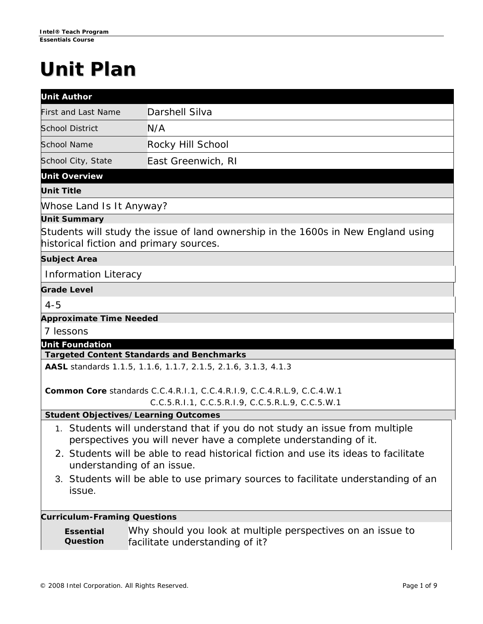# **Unit Plan**

| <b>Unit Author</b>                  |                                                                                                                                                 |  |  |
|-------------------------------------|-------------------------------------------------------------------------------------------------------------------------------------------------|--|--|
| <b>First and Last Name</b>          | Darshell Silva                                                                                                                                  |  |  |
| <b>School District</b>              | N/A                                                                                                                                             |  |  |
| <b>School Name</b>                  | Rocky Hill School                                                                                                                               |  |  |
| School City, State                  | East Greenwich, RI                                                                                                                              |  |  |
| <b>Unit Overview</b>                |                                                                                                                                                 |  |  |
| <b>Unit Title</b>                   |                                                                                                                                                 |  |  |
| Whose Land Is It Anyway?            |                                                                                                                                                 |  |  |
| <b>Unit Summary</b>                 |                                                                                                                                                 |  |  |
|                                     | Students will study the issue of land ownership in the 1600s in New England using<br>historical fiction and primary sources.                    |  |  |
| <b>Subject Area</b>                 |                                                                                                                                                 |  |  |
| <b>Information Literacy</b>         |                                                                                                                                                 |  |  |
| <b>Grade Level</b>                  |                                                                                                                                                 |  |  |
| $4 - 5$                             |                                                                                                                                                 |  |  |
| <b>Approximate Time Needed</b>      |                                                                                                                                                 |  |  |
| 7 lessons                           |                                                                                                                                                 |  |  |
| <b>Unit Foundation</b>              | <b>Targeted Content Standards and Benchmarks</b>                                                                                                |  |  |
|                                     | AASL standards 1.1.5, 1.1.6, 1.1.7, 2.1.5, 2.1.6, 3.1.3, 4.1.3                                                                                  |  |  |
|                                     | Common Core standards C.C.4.R.I.1, C.C.4.R.I.9, C.C.4.R.L.9, C.C.4.W.1                                                                          |  |  |
|                                     | C.C.5.R.I.1, C.C.5.R.I.9, C.C.5.R.L.9, C.C.5.W.1                                                                                                |  |  |
|                                     | <b>Student Objectives/Learning Outcomes</b>                                                                                                     |  |  |
|                                     | 1. Students will understand that if you do not study an issue from multiple<br>perspectives you will never have a complete understanding of it. |  |  |
|                                     | 2. Students will be able to read historical fiction and use its ideas to facilitate<br>understanding of an issue.                               |  |  |
| issue.                              | 3. Students will be able to use primary sources to facilitate understanding of an                                                               |  |  |
| <b>Curriculum-Framing Questions</b> |                                                                                                                                                 |  |  |
| <b>Essential</b><br>Question        | Why should you look at multiple perspectives on an issue to<br>facilitate understanding of it?                                                  |  |  |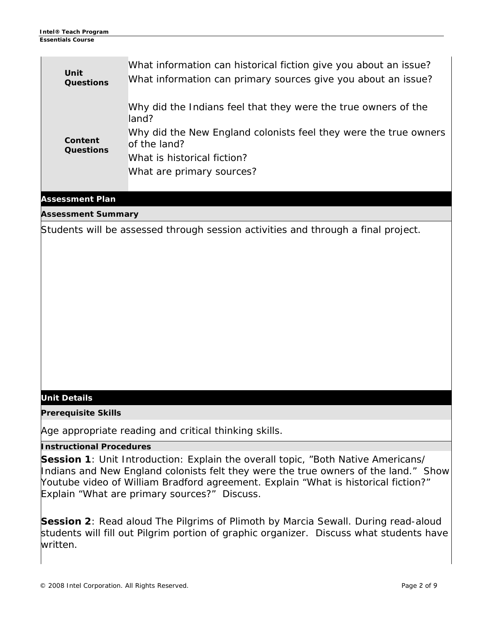| Unit                        | <b>Questions</b> | What information can historical fiction give you about an issue?<br>What information can primary sources give you about an issue? |
|-----------------------------|------------------|-----------------------------------------------------------------------------------------------------------------------------------|
| Content<br><b>Questions</b> |                  | Why did the Indians feel that they were the true owners of the<br>land?                                                           |
|                             |                  | Why did the New England colonists feel they were the true owners<br>of the land?                                                  |
|                             |                  | What is historical fiction?                                                                                                       |
|                             |                  | What are primary sources?                                                                                                         |
|                             |                  |                                                                                                                                   |

## **Assessment Plan**

**Assessment Summary**

Students will be assessed through session activities and through a final project.

## **Unit Details**

**Prerequisite Skills**

Age appropriate reading and critical thinking skills.

## **Instructional Procedures**

**Session 1**: Unit Introduction: Explain the overall topic, "Both Native Americans/ Indians and New England colonists felt they were the true owners of the land." Show Youtube video of William Bradford agreement. Explain "What is historical fiction?" Explain "What are primary sources?" Discuss.

**Session 2**: Read aloud *The Pilgrims of Plimoth* by Marcia Sewall. During read-aloud students will fill out Pilgrim portion of graphic organizer. Discuss what students have written.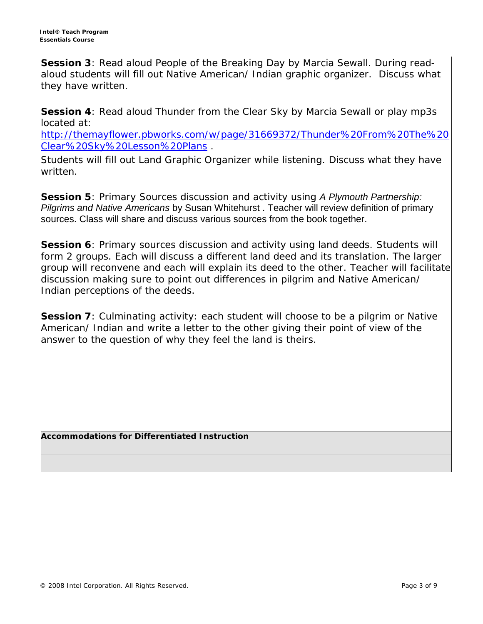**Session 3**: Read aloud *People of the Breaking Day* by Marcia Sewall. During readaloud students will fill out Native American/ Indian graphic organizer. Discuss what they have written.

**Session 4**: Read aloud *Thunder from the Clear Sky* by Marcia Sewall or play mp3s located at:

[http://themayflower.pbworks.com/w/page/31669372/Thunder%20From%20The%20](http://themayflower.pbworks.com/w/page/31669372/Thunder%20From%20The%20Clear%20Sky%20Lesson%20Plans) [Clear%20Sky%20Lesson%20Plans](http://themayflower.pbworks.com/w/page/31669372/Thunder%20From%20The%20Clear%20Sky%20Lesson%20Plans) .

Students will fill out Land Graphic Organizer while listening. Discuss what they have written.

**Session 5**: Primary Sources discussion and activity using *A Plymouth Partnership: Pilgrims and Native Americans* by Susan Whitehurst . Teacher will review definition of primary sources. Class will share and discuss various sources from the book together.

**Session 6**: Primary sources discussion and activity using land deeds. Students will form 2 groups. Each will discuss a different land deed and its translation. The larger group will reconvene and each will explain its deed to the other. Teacher will facilitate discussion making sure to point out differences in pilgrim and Native American/ Indian perceptions of the deeds.

**Session 7**: Culminating activity: each student will choose to be a pilgrim or Native American/ Indian and write a letter to the other giving their point of view of the answer to the question of why they feel the land is theirs.

**Accommodations for Differentiated Instruction**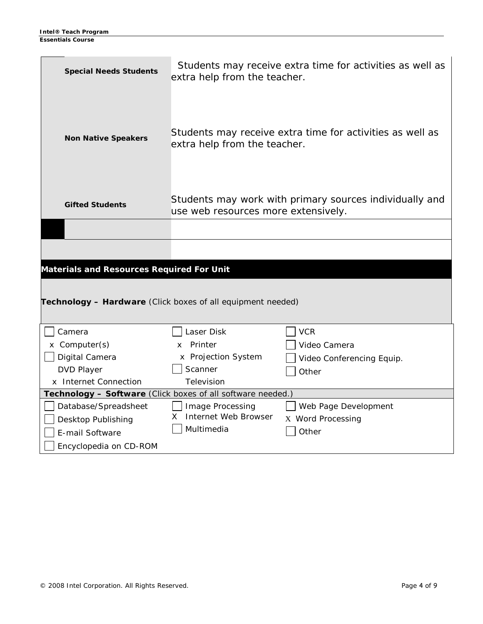| <b>Special Needs Students</b>                                                                                            | Students may receive extra time for activities as well as<br>extra help from the teacher. |                           |  |
|--------------------------------------------------------------------------------------------------------------------------|-------------------------------------------------------------------------------------------|---------------------------|--|
| <b>Non Native Speakers</b>                                                                                               | Students may receive extra time for activities as well as<br>extra help from the teacher. |                           |  |
| Students may work with primary sources individually and<br><b>Gifted Students</b><br>use web resources more extensively. |                                                                                           |                           |  |
|                                                                                                                          |                                                                                           |                           |  |
|                                                                                                                          |                                                                                           |                           |  |
| <b>Materials and Resources Required For Unit</b>                                                                         |                                                                                           |                           |  |
|                                                                                                                          |                                                                                           |                           |  |
| Technology - Hardware (Click boxes of all equipment needed)                                                              |                                                                                           |                           |  |
|                                                                                                                          |                                                                                           |                           |  |
| Camera                                                                                                                   | Laser Disk                                                                                | <b>VCR</b>                |  |
| x Computer(s)                                                                                                            | Printer<br><b>X</b>                                                                       | Video Camera              |  |
| Digital Camera                                                                                                           | x Projection System                                                                       | Video Conferencing Equip. |  |
| <b>DVD Player</b>                                                                                                        | Scanner                                                                                   | Other                     |  |
| x Internet Connection                                                                                                    | Television                                                                                |                           |  |
| Technology - Software (Click boxes of all software needed.)                                                              |                                                                                           |                           |  |
| Database/Spreadsheet                                                                                                     | Image Processing                                                                          | Web Page Development      |  |
| Desktop Publishing                                                                                                       | Internet Web Browser<br>X.<br>Multimedia                                                  | X Word Processing         |  |
| E-mail Software                                                                                                          |                                                                                           | Other                     |  |
| Encyclopedia on CD-ROM                                                                                                   |                                                                                           |                           |  |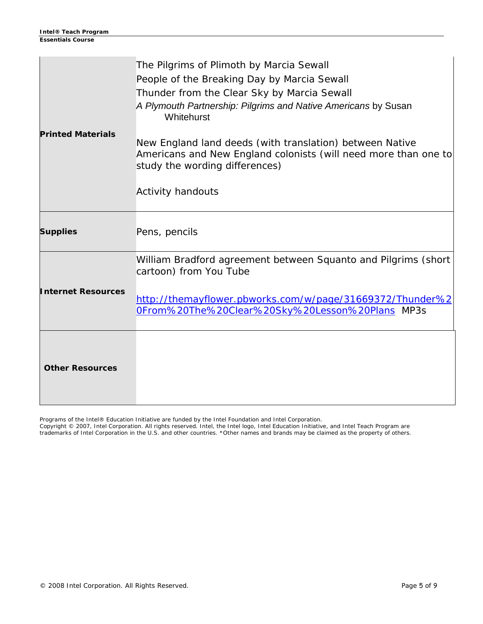|                           | The Pilgrims of Plimoth by Marcia Sewall<br>People of the Breaking Day by Marcia Sewall<br>Thunder from the Clear Sky by Marcia Sewall<br>A Plymouth Partnership: Pilgrims and Native Americans by Susan |
|---------------------------|----------------------------------------------------------------------------------------------------------------------------------------------------------------------------------------------------------|
| <b>Printed Materials</b>  | Whitehurst<br>New England land deeds (with translation) between Native<br>Americans and New England colonists (will need more than one to<br>study the wording differences)<br><b>Activity handouts</b>  |
| <b>Supplies</b>           | Pens, pencils                                                                                                                                                                                            |
| <b>Internet Resources</b> | William Bradford agreement between Squanto and Pilgrims (short<br>cartoon) from You Tube<br>http://themayflower.pbworks.com/w/page/31669372/Thunder%2<br>OFrom%20The%20Clear%20Sky%20Lesson%20Plans MP3s |
| <b>Other Resources</b>    |                                                                                                                                                                                                          |

Programs of the Intel® Education Initiative are funded by the Intel Foundation and Intel Corporation.

Copyright © 2007, Intel Corporation. All rights reserved. Intel, the Intel logo, Intel Education Initiative, and Intel Teach Program are trademarks of Intel Corporation in the U.S. and other countries. \*Other names and brands may be claimed as the property of others.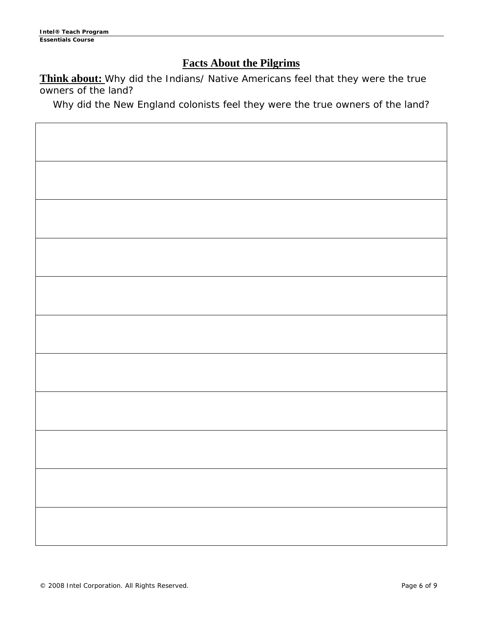$\blacksquare$ 

## **Facts About the Pilgrims**

**Think about:** Why did the Indians/ Native Americans feel that they were the true owners of the land?

Why did the New England colonists feel they were the true owners of the land?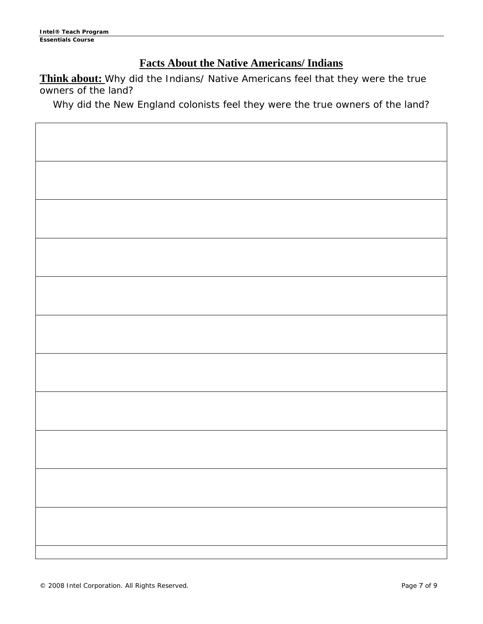$\blacksquare$ 

# **Facts About the Native Americans/ Indians**

**Think about:** Why did the Indians/ Native Americans feel that they were the true owners of the land?

Why did the New England colonists feel they were the true owners of the land?

 $\overline{\mathbf{1}}$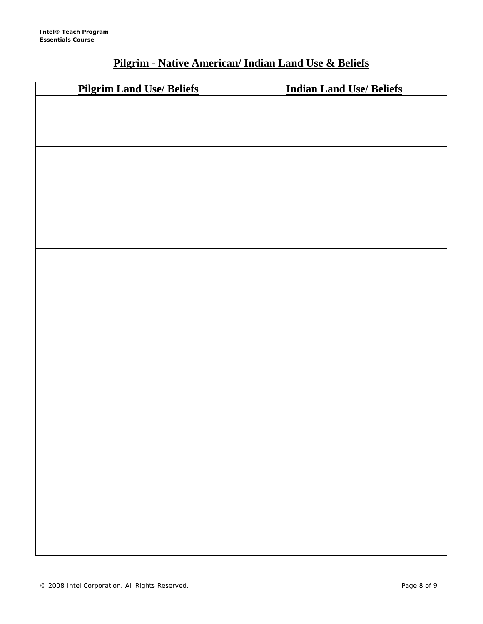# **Pilgrim - Native American/ Indian Land Use & Beliefs**

| <b>Pilgrim Land Use/ Beliefs</b> | <b>Indian Land Use/ Beliefs</b> |
|----------------------------------|---------------------------------|
|                                  |                                 |
|                                  |                                 |
|                                  |                                 |
|                                  |                                 |
|                                  |                                 |
|                                  |                                 |
|                                  |                                 |
|                                  |                                 |
|                                  |                                 |
|                                  |                                 |
|                                  |                                 |
|                                  |                                 |
|                                  |                                 |
|                                  |                                 |
|                                  |                                 |
|                                  |                                 |
|                                  |                                 |
|                                  |                                 |
|                                  |                                 |
|                                  |                                 |
|                                  |                                 |
|                                  |                                 |
|                                  |                                 |
|                                  |                                 |
|                                  |                                 |
|                                  |                                 |
|                                  |                                 |
|                                  |                                 |
|                                  |                                 |